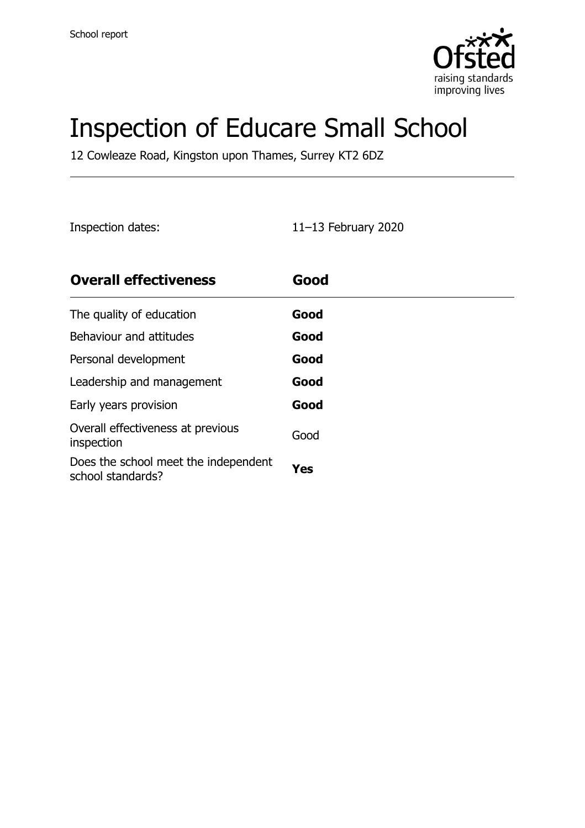

# Inspection of Educare Small School

12 Cowleaze Road, Kingston upon Thames, Surrey KT2 6DZ

Inspection dates: 11–13 February 2020

| <b>Overall effectiveness</b>                              | Good |
|-----------------------------------------------------------|------|
| The quality of education                                  | Good |
| Behaviour and attitudes                                   | Good |
| Personal development                                      | Good |
| Leadership and management                                 | Good |
| Early years provision                                     | Good |
| Overall effectiveness at previous<br>inspection           | Good |
| Does the school meet the independent<br>school standards? | Yes  |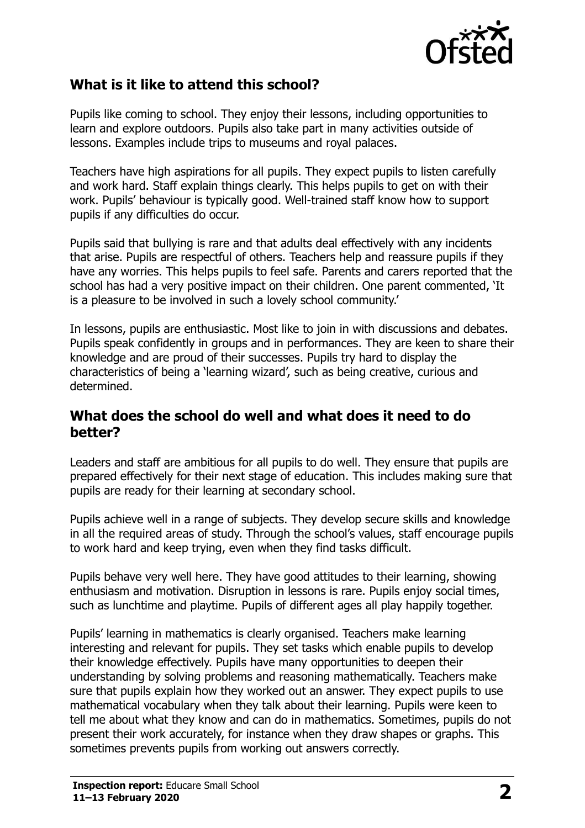

#### **What is it like to attend this school?**

Pupils like coming to school. They enjoy their lessons, including opportunities to learn and explore outdoors. Pupils also take part in many activities outside of lessons. Examples include trips to museums and royal palaces.

Teachers have high aspirations for all pupils. They expect pupils to listen carefully and work hard. Staff explain things clearly. This helps pupils to get on with their work. Pupils' behaviour is typically good. Well-trained staff know how to support pupils if any difficulties do occur.

Pupils said that bullying is rare and that adults deal effectively with any incidents that arise. Pupils are respectful of others. Teachers help and reassure pupils if they have any worries. This helps pupils to feel safe. Parents and carers reported that the school has had a very positive impact on their children. One parent commented, 'It is a pleasure to be involved in such a lovely school community.'

In lessons, pupils are enthusiastic. Most like to join in with discussions and debates. Pupils speak confidently in groups and in performances. They are keen to share their knowledge and are proud of their successes. Pupils try hard to display the characteristics of being a 'learning wizard', such as being creative, curious and determined.

#### **What does the school do well and what does it need to do better?**

Leaders and staff are ambitious for all pupils to do well. They ensure that pupils are prepared effectively for their next stage of education. This includes making sure that pupils are ready for their learning at secondary school.

Pupils achieve well in a range of subjects. They develop secure skills and knowledge in all the required areas of study. Through the school's values, staff encourage pupils to work hard and keep trying, even when they find tasks difficult.

Pupils behave very well here. They have good attitudes to their learning, showing enthusiasm and motivation. Disruption in lessons is rare. Pupils enjoy social times, such as lunchtime and playtime. Pupils of different ages all play happily together.

Pupils' learning in mathematics is clearly organised. Teachers make learning interesting and relevant for pupils. They set tasks which enable pupils to develop their knowledge effectively. Pupils have many opportunities to deepen their understanding by solving problems and reasoning mathematically. Teachers make sure that pupils explain how they worked out an answer. They expect pupils to use mathematical vocabulary when they talk about their learning. Pupils were keen to tell me about what they know and can do in mathematics. Sometimes, pupils do not present their work accurately, for instance when they draw shapes or graphs. This sometimes prevents pupils from working out answers correctly.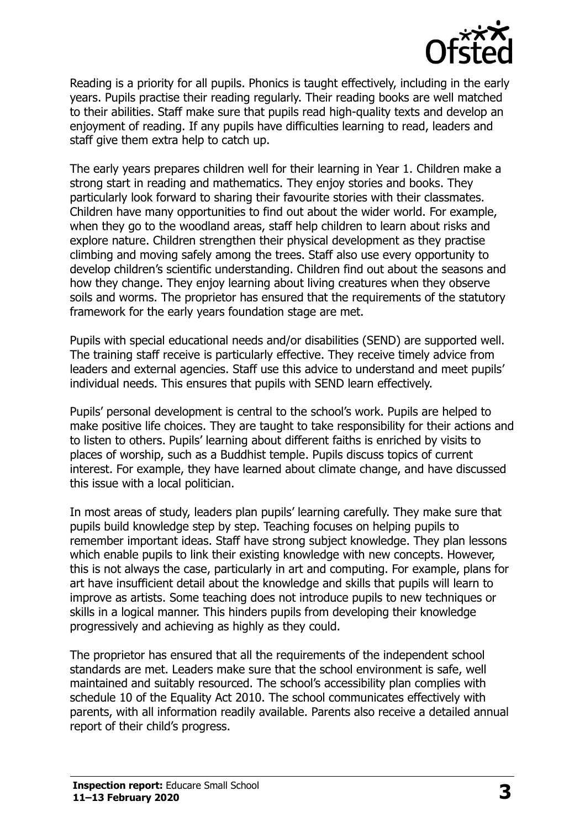

Reading is a priority for all pupils. Phonics is taught effectively, including in the early years. Pupils practise their reading regularly. Their reading books are well matched to their abilities. Staff make sure that pupils read high-quality texts and develop an enjoyment of reading. If any pupils have difficulties learning to read, leaders and staff give them extra help to catch up.

The early years prepares children well for their learning in Year 1. Children make a strong start in reading and mathematics. They enjoy stories and books. They particularly look forward to sharing their favourite stories with their classmates. Children have many opportunities to find out about the wider world. For example, when they go to the woodland areas, staff help children to learn about risks and explore nature. Children strengthen their physical development as they practise climbing and moving safely among the trees. Staff also use every opportunity to develop children's scientific understanding. Children find out about the seasons and how they change. They enjoy learning about living creatures when they observe soils and worms. The proprietor has ensured that the requirements of the statutory framework for the early years foundation stage are met.

Pupils with special educational needs and/or disabilities (SEND) are supported well. The training staff receive is particularly effective. They receive timely advice from leaders and external agencies. Staff use this advice to understand and meet pupils' individual needs. This ensures that pupils with SEND learn effectively.

Pupils' personal development is central to the school's work. Pupils are helped to make positive life choices. They are taught to take responsibility for their actions and to listen to others. Pupils' learning about different faiths is enriched by visits to places of worship, such as a Buddhist temple. Pupils discuss topics of current interest. For example, they have learned about climate change, and have discussed this issue with a local politician.

In most areas of study, leaders plan pupils' learning carefully. They make sure that pupils build knowledge step by step. Teaching focuses on helping pupils to remember important ideas. Staff have strong subject knowledge. They plan lessons which enable pupils to link their existing knowledge with new concepts. However, this is not always the case, particularly in art and computing. For example, plans for art have insufficient detail about the knowledge and skills that pupils will learn to improve as artists. Some teaching does not introduce pupils to new techniques or skills in a logical manner. This hinders pupils from developing their knowledge progressively and achieving as highly as they could.

The proprietor has ensured that all the requirements of the independent school standards are met. Leaders make sure that the school environment is safe, well maintained and suitably resourced. The school's accessibility plan complies with schedule 10 of the Equality Act 2010. The school communicates effectively with parents, with all information readily available. Parents also receive a detailed annual report of their child's progress.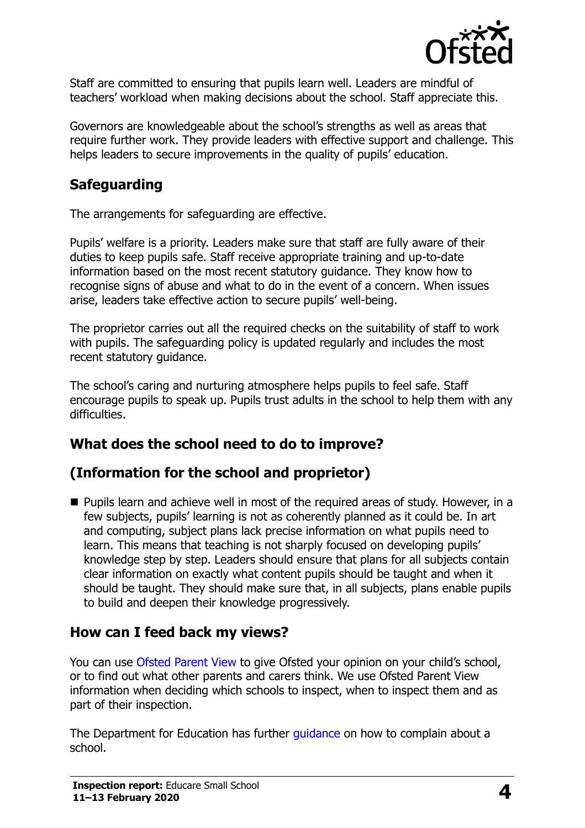

Staff are committed to ensuring that pupils learn well. Leaders are mindful of teachers' workload when making decisions about the school. Staff appreciate this.

Governors are knowledgeable about the school's strengths as well as areas that require further work. They provide leaders with effective support and challenge. This helps leaders to secure improvements in the quality of pupils' education.

## **Safeguarding**

The arrangements for safeguarding are effective.

Pupils' welfare is a priority. Leaders make sure that staff are fully aware of their duties to keep pupils safe. Staff receive appropriate training and up-to-date information based on the most recent statutory guidance. They know how to recognise signs of abuse and what to do in the event of a concern. When issues arise, leaders take effective action to secure pupils' well-being.

The proprietor carries out all the required checks on the suitability of staff to work with pupils. The safeguarding policy is updated regularly and includes the most recent statutory guidance.

The school's caring and nurturing atmosphere helps pupils to feel safe. Staff encourage pupils to speak up. Pupils trust adults in the school to help them with any difficulties.

# **What does the school need to do to improve?**

### **(Information for the school and proprietor)**

■ Pupils learn and achieve well in most of the required areas of study. However, in a few subjects, pupils' learning is not as coherently planned as it could be. In art and computing, subject plans lack precise information on what pupils need to learn. This means that teaching is not sharply focused on developing pupils' knowledge step by step. Leaders should ensure that plans for all subjects contain clear information on exactly what content pupils should be taught and when it should be taught. They should make sure that, in all subjects, plans enable pupils to build and deepen their knowledge progressively.

### **How can I feed back my views?**

You can use [Ofsted Parent View](http://parentview.ofsted.gov.uk/) to give Ofsted your opinion on your child's school, or to find out what other parents and carers think. We use Ofsted Parent View information when deciding which schools to inspect, when to inspect them and as part of their inspection.

The Department for Education has further quidance on how to complain about a school.

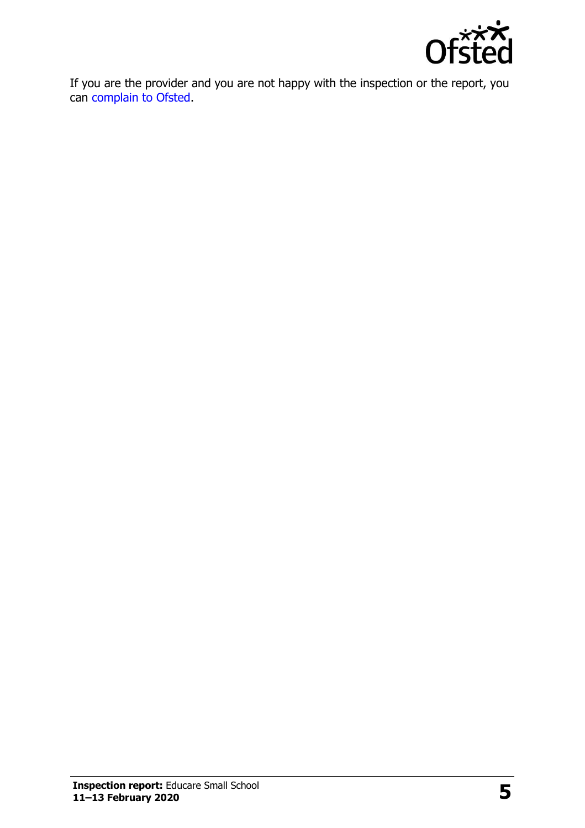

If you are the provider and you are not happy with the inspection or the report, you can [complain to Ofsted.](http://www.gov.uk/complain-ofsted-report)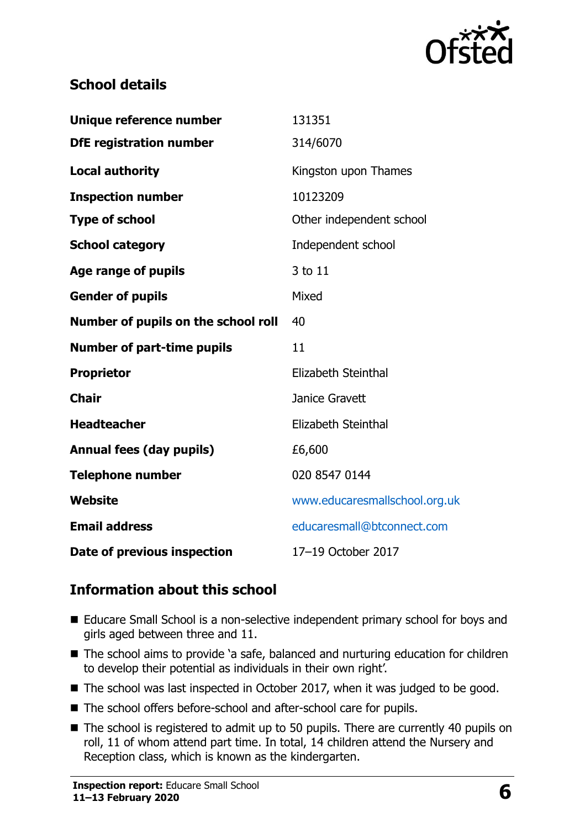

### **School details**

| Unique reference number             | 131351                        |
|-------------------------------------|-------------------------------|
| <b>DfE registration number</b>      | 314/6070                      |
| <b>Local authority</b>              | Kingston upon Thames          |
| <b>Inspection number</b>            | 10123209                      |
| <b>Type of school</b>               | Other independent school      |
| <b>School category</b>              | Independent school            |
| <b>Age range of pupils</b>          | 3 to 11                       |
| <b>Gender of pupils</b>             | Mixed                         |
| Number of pupils on the school roll | 40                            |
| <b>Number of part-time pupils</b>   | 11                            |
| <b>Proprietor</b>                   | Elizabeth Steinthal           |
| <b>Chair</b>                        | Janice Gravett                |
| <b>Headteacher</b>                  | Elizabeth Steinthal           |
| <b>Annual fees (day pupils)</b>     | £6,600                        |
| <b>Telephone number</b>             | 020 8547 0144                 |
| <b>Website</b>                      | www.educaresmallschool.org.uk |
| <b>Email address</b>                | educaresmall@btconnect.com    |
| Date of previous inspection         | 17-19 October 2017            |

### **Information about this school**

- Educare Small School is a non-selective independent primary school for boys and girls aged between three and 11.
- The school aims to provide 'a safe, balanced and nurturing education for children to develop their potential as individuals in their own right'.
- The school was last inspected in October 2017, when it was judged to be good.
- The school offers before-school and after-school care for pupils.
- The school is registered to admit up to 50 pupils. There are currently 40 pupils on roll, 11 of whom attend part time. In total, 14 children attend the Nursery and Reception class, which is known as the kindergarten.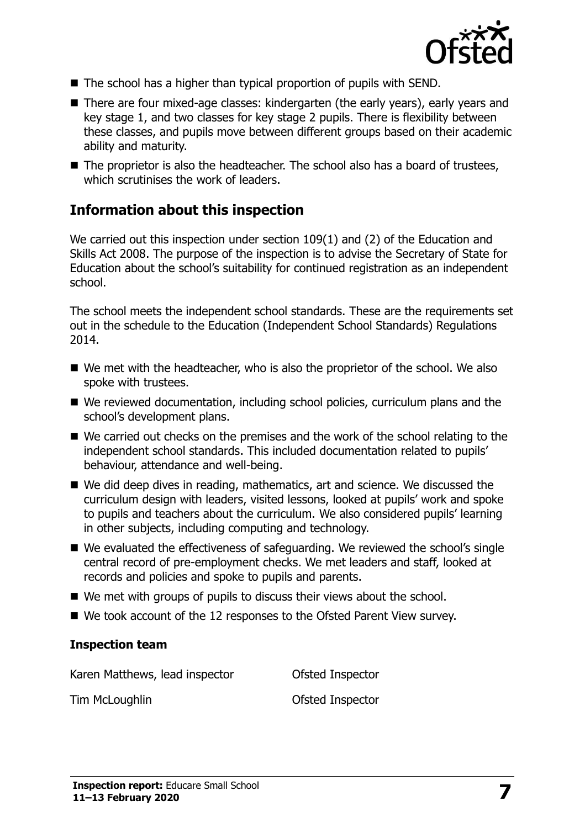

- The school has a higher than typical proportion of pupils with SEND.
- There are four mixed-age classes: kindergarten (the early years), early years and key stage 1, and two classes for key stage 2 pupils. There is flexibility between these classes, and pupils move between different groups based on their academic ability and maturity.
- The proprietor is also the headteacher. The school also has a board of trustees, which scrutinises the work of leaders.

#### **Information about this inspection**

We carried out this inspection under section 109(1) and (2) of the Education and Skills Act 2008. The purpose of the inspection is to advise the Secretary of State for Education about the school's suitability for continued registration as an independent school.

The school meets the independent school standards. These are the requirements set out in the schedule to the Education (Independent School Standards) Regulations 2014.

- We met with the headteacher, who is also the proprietor of the school. We also spoke with trustees.
- We reviewed documentation, including school policies, curriculum plans and the school's development plans.
- We carried out checks on the premises and the work of the school relating to the independent school standards. This included documentation related to pupils' behaviour, attendance and well-being.
- We did deep dives in reading, mathematics, art and science. We discussed the curriculum design with leaders, visited lessons, looked at pupils' work and spoke to pupils and teachers about the curriculum. We also considered pupils' learning in other subjects, including computing and technology.
- We evaluated the effectiveness of safeguarding. We reviewed the school's single central record of pre-employment checks. We met leaders and staff, looked at records and policies and spoke to pupils and parents.
- We met with groups of pupils to discuss their views about the school.
- We took account of the 12 responses to the Ofsted Parent View survey.

#### **Inspection team**

Karen Matthews, lead inspector **Ofsted Inspector** 

Tim McLoughlin **Tim McLoughlin**